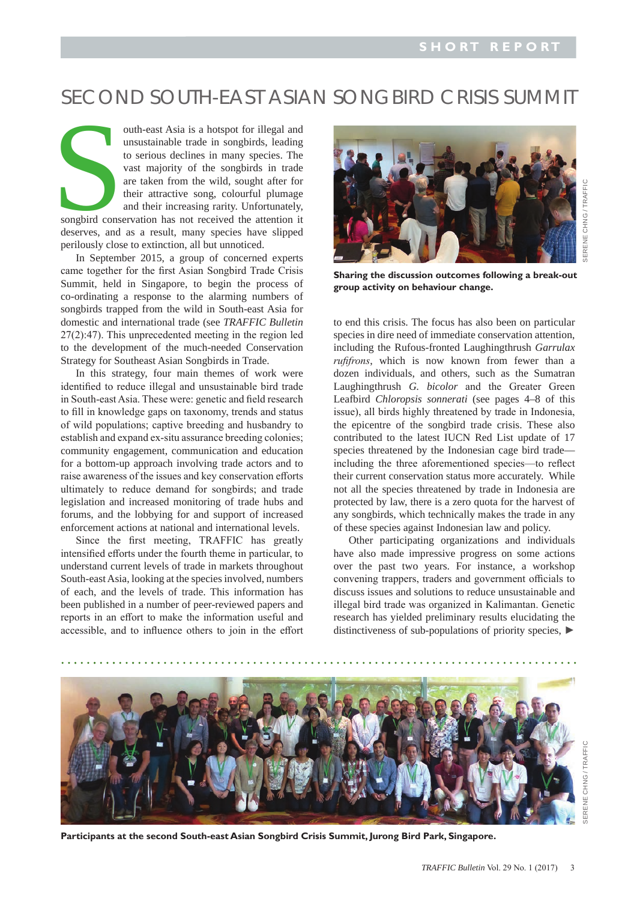## SECOND SOUTH-EAST ASIAN SONGBIRD CRISIS SUMMIT

songbird conserves, and outh-east Asia is a hotspot for illegal and unsustainable trade in songbirds, leading to serious declines in many species. The vast majority of the songbirds in trade are taken from the wild, sought after for their attractive song, colourful plumage and their increasing rarity. Unfortunately, songbird conservation has not received the attention it deserves, and as a result, many species have slipped perilously close to extinction, all but unnoticed.

In September 2015, a group of concerned experts came together for the first Asian Songbird Trade Crisis Summit, held in Singapore, to begin the process of co-ordinating a response to the alarming numbers of songbirds trapped from the wild in South-east Asia for domestic and international trade (see *TRAFFIC Bulletin* 27(2):47). This unprecedented meeting in the region led to the development of the much-needed Conservation Strategy for Southeast Asian Songbirds in Trade.

In this strategy, four main themes of work were identified to reduce illegal and unsustainable bird trade in South-east Asia. These were: genetic and field research to fill in knowledge gaps on taxonomy, trends and status of wild populations; captive breeding and husbandry to establish and expand ex-situ assurance breeding colonies; community engagement, communication and education for a bottom-up approach involving trade actors and to raise awareness of the issues and key conservation efforts ultimately to reduce demand for songbirds; and trade legislation and increased monitoring of trade hubs and forums, and the lobbying for and support of increased enforcement actions at national and international levels.

 Since the first meeting, TRAFFIC has greatly intensified efforts under the fourth theme in particular, to understand current levels of trade in markets throughout South-east Asia, looking at the species involved, numbers of each, and the levels of trade. This information has been published in a number of peer-reviewed papers and reports in an effort to make the information useful and accessible, and to influence others to join in the effort



**Sharing the discussion outcomes following a break-out group activity on behaviour change.**

to end this crisis. The focus has also been on particular species in dire need of immediate conservation attention, including the Rufous-fronted Laughingthrush *Garrulax rufifrons*, which is now known from fewer than a dozen individuals, and others, such as the Sumatran Laughingthrush *G. bicolor* and the Greater Green Leafbird *Chloropsis sonnerati* (see pages 4–8 of this issue), all birds highly threatened by trade in Indonesia, the epicentre of the songbird trade crisis. These also contributed to the latest IUCN Red List update of 17 species threatened by the Indonesian cage bird trade including the three aforementioned species—to reflect their current conservation status more accurately. While not all the species threatened by trade in Indonesia are protected by law, there is a zero quota for the harvest of any songbirds, which technically makes the trade in any of these species against Indonesian law and policy.

Other participating organizations and individuals have also made impressive progress on some actions over the past two years. For instance, a workshop convening trappers, traders and government officials to discuss issues and solutions to reduce unsustainable and illegal bird trade was organized in Kalimantan. Genetic research has yielded preliminary results elucidating the distinctiveness of sub-populations of priority species, ►



**Participants at the second South-east Asian Songbird Crisis Summit, Jurong Bird Park, Singapore.**